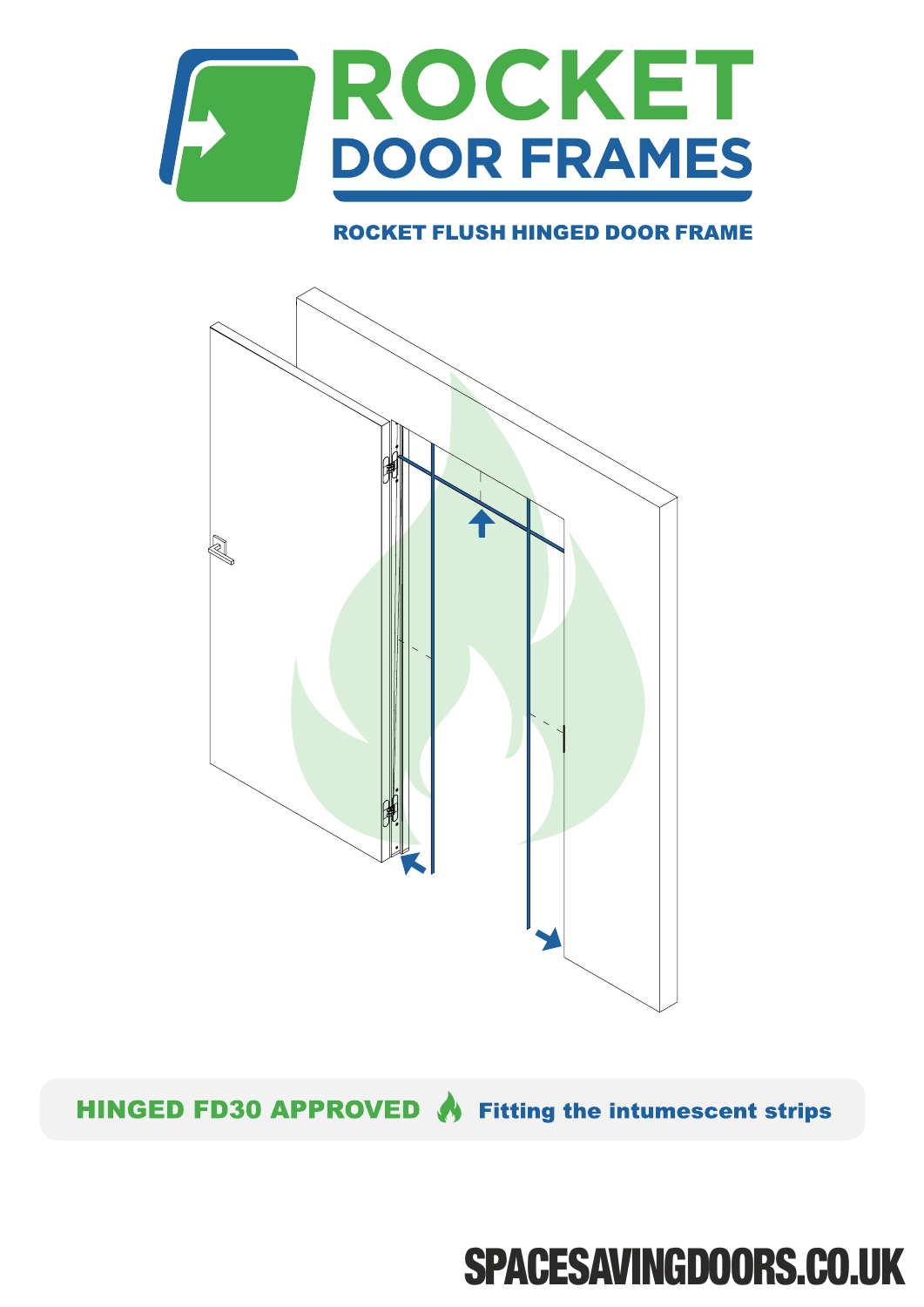

## **ROCKET FLUSH HINGED DOOR FRAME**



HINGED FD30 APPROVED & Fitting the intumescent strips

## **SPACESAVINGDOORS.CO.UK**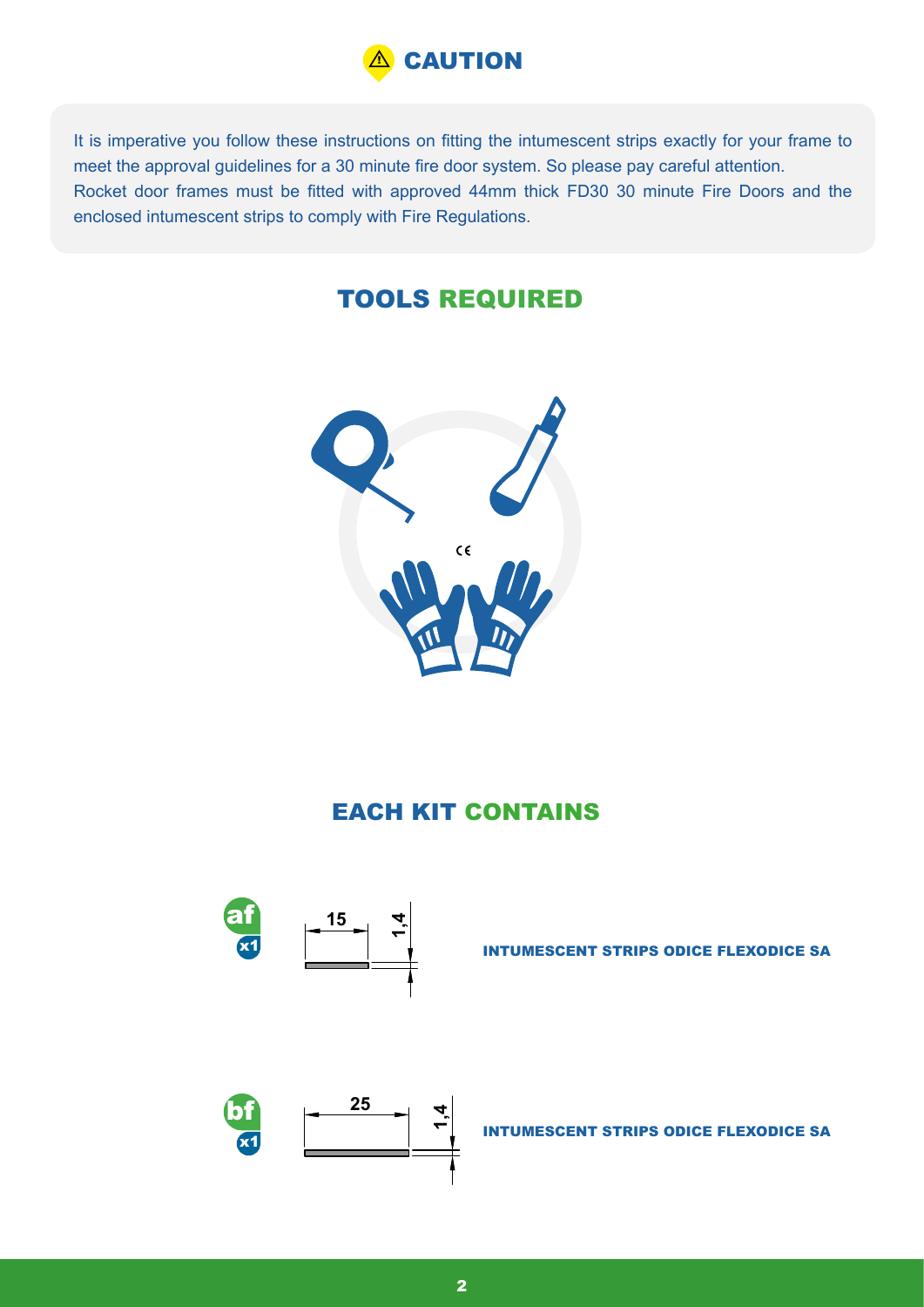

It is imperative you follow these instructions on fitting the intumescent strips exactly for your frame to meet the approval guidelines for a 30 minute fire door system. So please pay careful attention. Rocket door frames must be fitted with approved 44mm thick FD30 30 minute Fire Doors and the enclosed intumescent strips to comply with Fire Regulations.

## TOOLS REQUIRED



## EACH KIT CONTAINS



INTUMESCENT STRIPS ODICE FLEXODICE SA



INTUMESCENT STRIPS ODICE FLEXODICE SA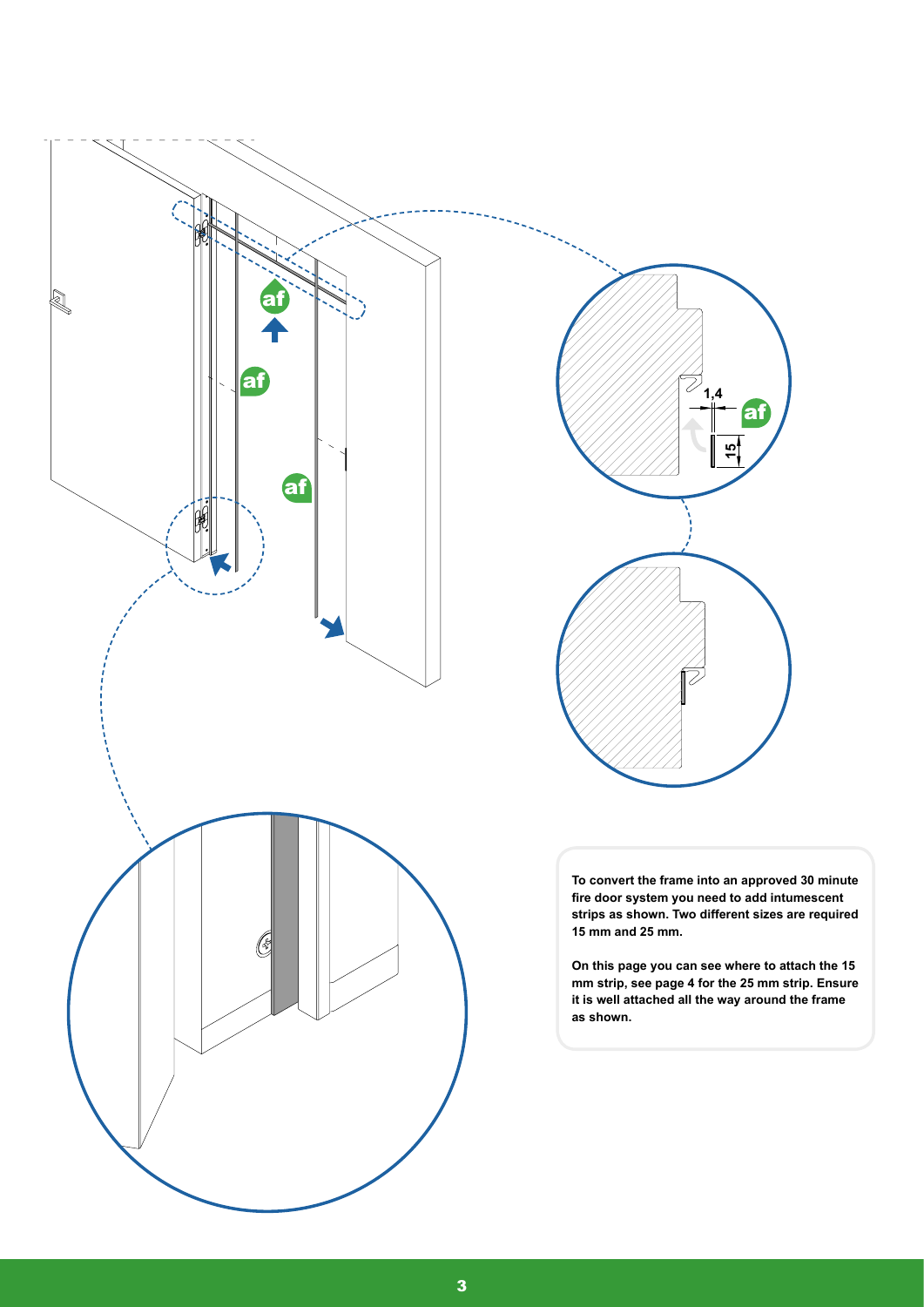



**To convert the frame into an approved 30 minute fire door system you need to add intumescent strips as shown. Two different sizes are required 15 mm and 25 mm.**

**On this page you can see where to attach the 15 mm strip, see page 4 for the 25 mm strip. Ensure it is well attached all the way around the frame as shown.**